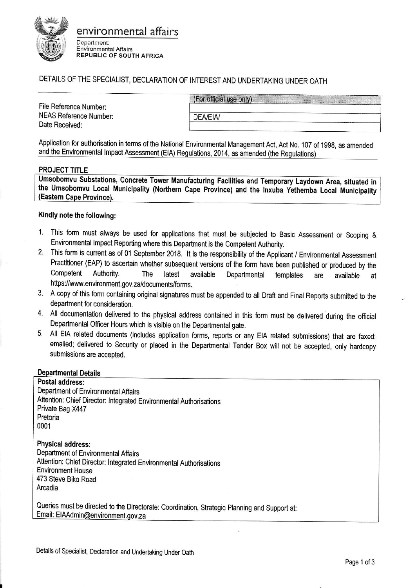

# environmental affairs

Department: Environmental Affairs REPUBLIC OF SOUTH AFRICA

# DETAILS OF THE SPECIALIST, DECLARATION OF INTEREST AND UNDERTAKING UNDER OATH

File Reference Number: NEAS Reference Number: Date Received:

(For official use only)

Application for authorisation in terms of the National Environmental Management Act, Act No. 107 of 19g8, as amended and the Environmental lmpact Assessment (ElA) Regulations, 2014, as amended (the Requlations)

**DEA/EIA/** 

#### PROJECT TITLE

Umsobomvu Substations, Concrete Tower Manufacturing Facilities and Temporary Laydown Area, situated in the Umsobomvu Local Municipality (Northern Cape Province) and the Inxuba Yethemba Local Municipality<br>(Eastern Cape Province).

# Kindly note the following:

- 1. This form must always be used for applications that must be subjected to Basic Assessment or Scoping & Environmental Impact Reporting where this Department is the Competent Authority.
- 2. This form is current as of 01 September 2018. It is the responsibility of the Applicant / Environmental Assessment Practitioner (EAP) to ascertain whether subsequent versions of the form have been published or produced by the<br>Competent Authority. The latest available Departmental templates are available at Competent Authority. The latest available Departmental templates are available at https://www.environment.gov.za/documents/forms.
- 3. <sup>A</sup>copy of this form containing original signatures must be appended to all Draft and Final Reports submitted to the department for consideration.
- 4. All documentation delivered to the physical address contained in this form must be delivered during the official Departmental Officer Hours which is visible on the Departmental gate.
- 5. All EIA related documents (includes application forms, reports or any EIA related submissions) that are faxed; emailed; delivered to Security or placed in the Departmental Tender Box will not be accepted, only hardcopy submissions are accepted.

#### **Departmental Details**

Postal address: Department of Environmental Affairs Attention: Chief Director: lntegrated Environmental Authorisations Private Bag X447 Pretoria 0001

Physical address: Department of Environmental Affairs Attention: Chief Director: lntegrated Environmental Authorisations Environment House 473 Steve Biko Road Arcadia

Queries must be directed to the Directorate: coordination, strategic planning and support at: Email: EIAAdmin@environment.gov.za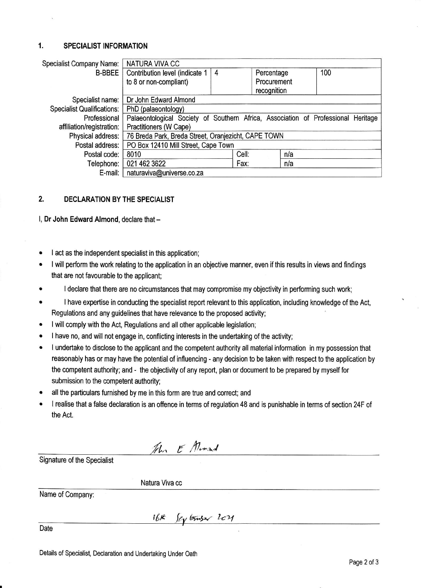### 1. SPECIALIST INFORMATION

| <b>Specialist Company Name:</b>   | <b>NATURA VIVA CC</b>                                                             |   |       |             |     |  |  |
|-----------------------------------|-----------------------------------------------------------------------------------|---|-------|-------------|-----|--|--|
| <b>B-BBEE</b>                     | Contribution level (indicate 1                                                    | 4 |       | Percentage  | 100 |  |  |
|                                   | to 8 or non-compliant)                                                            |   |       | Procurement |     |  |  |
|                                   |                                                                                   |   |       | recognition |     |  |  |
| Specialist name:                  | Dr John Edward Almond                                                             |   |       |             |     |  |  |
| <b>Specialist Qualifications:</b> | PhD (palaeontology)                                                               |   |       |             |     |  |  |
| Professional                      | Palaeontological Society of Southern Africa, Association of Professional Heritage |   |       |             |     |  |  |
| affiliation/registration:         | Practitioners (W Cape)                                                            |   |       |             |     |  |  |
| Physical address:                 | 76 Breda Park, Breda Street, Oranjezicht, CAPE TOWN                               |   |       |             |     |  |  |
| Postal address:                   | PO Box 12410 Mill Street, Cape Town                                               |   |       |             |     |  |  |
| Postal code:                      | 8010                                                                              |   | Cell: | n/a         |     |  |  |
| Telephone:                        | 021 462 3622                                                                      |   | Fax:  | n/a         |     |  |  |
| E-mail:                           | naturaviva@universe.co.za                                                         |   |       |             |     |  |  |

## 2. DECLARATION BY THE SPECIALIST

l, Dr John Edward Almond, declare that -

- . I act as the independent specialist in this application;
- I will perform the work relating to the application in an objective manner, even if this results in views and findings that are not favourable to the applicant;
- I declare that there are no circumstances that may compromise my objectivity in performing such work;
- . I have expertise in conducting the specialist report relevant to this application, including knowledge of the Act, Regulations and any guidelines that have relevance to the proposed activity;
- . I will comply with the Act, Regulations and all other applicable legislation;
- I have no, and will not engage in, conflicting interests in the undertaking of the activity;
- . I undertake to disclose to the applicant and the competent authority all material information in my possession that reasonably has or may have the potential of influencing - any decision to be taken with respect to the application by the competent authority; and - the objectivity of any report, plan or document to be prepared by myself for submission to the competent authority;
- all the particulars furnished by me in this form are true and correct; and
- I realise that a false declaration is an offence in terms of regulation 48 and is punishable in terms of section 24F of the Act.

The E Almond

Signature of the Specialist

Natura Viva cc

Name of Company:

 $16k$   $f$ ey binser  $1c4$ 

Date